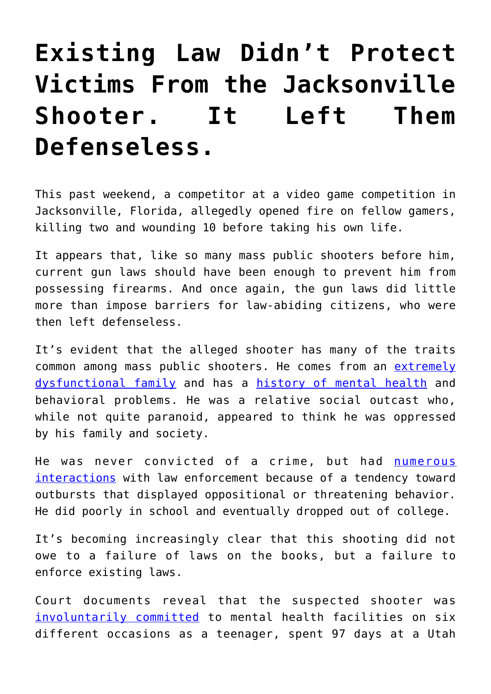## **[Existing Law Didn't Protect](https://intellectualtakeout.org/2018/08/existing-law-didnt-protect-victims-from-the-jacksonville-shooter-it-left-them-defenseless/) [Victims From the Jacksonville](https://intellectualtakeout.org/2018/08/existing-law-didnt-protect-victims-from-the-jacksonville-shooter-it-left-them-defenseless/) [Shooter. It Left Them](https://intellectualtakeout.org/2018/08/existing-law-didnt-protect-victims-from-the-jacksonville-shooter-it-left-them-defenseless/) [Defenseless.](https://intellectualtakeout.org/2018/08/existing-law-didnt-protect-victims-from-the-jacksonville-shooter-it-left-them-defenseless/)**

This past weekend, a competitor at a video game competition in Jacksonville, Florida, allegedly opened fire on fellow gamers, killing two and wounding 10 before taking his own life.

It appears that, like so many mass public shooters before him, current gun laws should have been enough to prevent him from possessing firearms. And once again, the gun laws did little more than impose barriers for law-abiding citizens, who were then left defenseless.

It's evident that the alleged shooter has many of the traits common among mass public shooters. He comes from an [extremely](https://foxbaltimore.com/news/local/mass-shooting-suspect-messy-divorce-multiple-police-calls-at-columbia-home) [dysfunctional family](https://foxbaltimore.com/news/local/mass-shooting-suspect-messy-divorce-multiple-police-calls-at-columbia-home) and has a [history of mental health](http://www.baltimoresun.com/news/maryland/crime/bs-md-katz-what-we-know-20180826-story.html) and behavioral problems. He was a relative social outcast who, while not quite paranoid, appeared to think he was oppressed by his family and society.

He was never convicted of a crime, but had [numerous](https://www.fox4now.com/news/national/jacksonville-shooter-had-history-of-mental-illness-and-police-visits-to-family-home) [interactions](https://www.fox4now.com/news/national/jacksonville-shooter-had-history-of-mental-illness-and-police-visits-to-family-home) with law enforcement because of a tendency toward outbursts that displayed oppositional or threatening behavior. He did poorly in school and eventually dropped out of college.

It's becoming increasingly clear that this shooting did not owe to a failure of laws on the books, but a failure to enforce existing laws.

Court documents reveal that the suspected shooter was [involuntarily committed](https://www.wbaltv.com/article/27-volumes-of-official-documents-shed-new-light-on-accused-jacksonville-mass-shooter/22843359) to mental health facilities on six different occasions as a teenager, spent 97 days at a Utah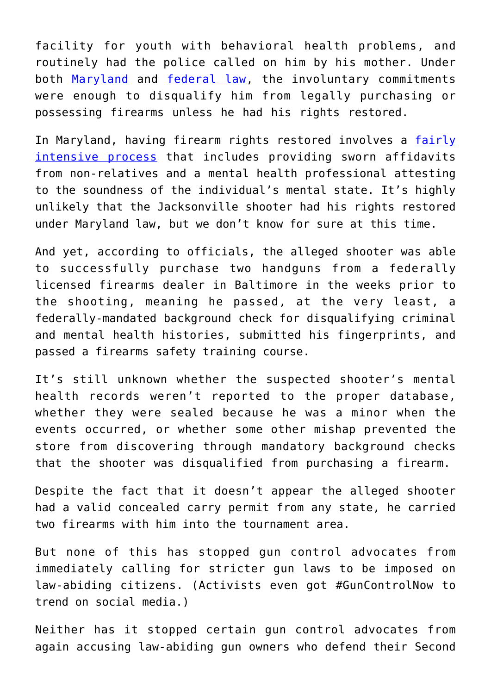facility for youth with behavioral health problems, and routinely had the police called on him by his mother. Under both [Maryland](https://codes.findlaw.com/md/public-safety/md-code-public-safety-sect-5-205.html) and [federal law,](https://www.atf.gov/firearms/identify-prohibited-persons) the involuntary commitments were enough to disqualify him from legally purchasing or possessing firearms unless he had his rights restored.

In Maryland, having firearm rights restored involves a [fairly](https://codes.findlaw.com/md/public-safety/md-code-public-safety-sect-5-133-3.html) [intensive process](https://codes.findlaw.com/md/public-safety/md-code-public-safety-sect-5-133-3.html) that includes providing sworn affidavits from non-relatives and a mental health professional attesting to the soundness of the individual's mental state. It's highly unlikely that the Jacksonville shooter had his rights restored under Maryland law, but we don't know for sure at this time.

And yet, according to officials, the alleged shooter was able to successfully purchase two handguns from a federally licensed firearms dealer in Baltimore in the weeks prior to the shooting, meaning he passed, at the very least, a federally-mandated background check for disqualifying criminal and mental health histories, submitted his fingerprints, and passed a firearms safety training course.

It's still unknown whether the suspected shooter's mental health records weren't reported to the proper database, whether they were sealed because he was a minor when the events occurred, or whether some other mishap prevented the store from discovering through mandatory background checks that the shooter was disqualified from purchasing a firearm.

Despite the fact that it doesn't appear the alleged shooter had a valid concealed carry permit from any state, he carried two firearms with him into the tournament area.

But none of this has stopped gun control advocates from immediately calling for stricter gun laws to be imposed on law-abiding citizens. (Activists even got #GunControlNow to trend on social media.)

Neither has it stopped certain gun control advocates from again accusing law-abiding gun owners who defend their Second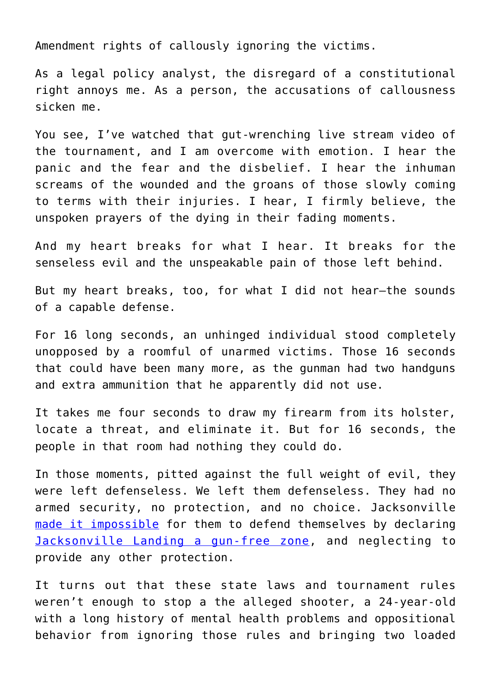Amendment rights of callously ignoring the victims.

As a legal policy analyst, the disregard of a constitutional right annoys me. As a person, the accusations of callousness sicken me.

You see, I've watched that gut-wrenching live stream video of the tournament, and I am overcome with emotion. I hear the panic and the fear and the disbelief. I hear the inhuman screams of the wounded and the groans of those slowly coming to terms with their injuries. I hear, I firmly believe, the unspoken prayers of the dying in their fading moments.

And my heart breaks for what I hear. It breaks for the senseless evil and the unspeakable pain of those left behind.

But my heart breaks, too, for what I did not hear—the sounds of a capable defense.

For 16 long seconds, an unhinged individual stood completely unopposed by a roomful of unarmed victims. Those 16 seconds that could have been many more, as the gunman had two handguns and extra ammunition that he apparently did not use.

It takes me four seconds to draw my firearm from its holster, locate a threat, and eliminate it. But for 16 seconds, the people in that room had nothing they could do.

In those moments, pitted against the full weight of evil, they were left defenseless. We left them defenseless. They had no armed security, no protection, and no choice. Jacksonville [made it impossible](https://www.jacksonvillelanding.com/rules-of-conduct/) for them to defend themselves by declaring [Jacksonville Landing a gun-free zone](https://www.jacksonvillelanding.com/rules-of-conduct/), and neglecting to provide any other protection.

It turns out that these state laws and tournament rules weren't enough to stop a the alleged shooter, a 24-year-old with a long history of mental health problems and oppositional behavior from ignoring those rules and bringing two loaded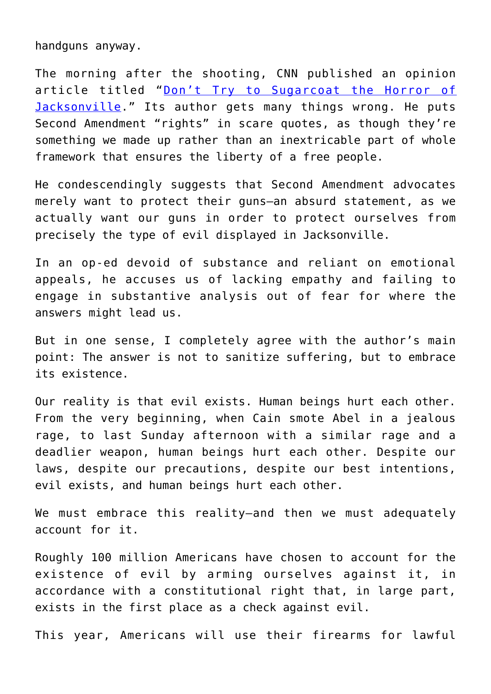handguns anyway.

The morning after the shooting, CNN published an opinion article titled "[Don't Try to Sugarcoat the Horror of](https://www.cnn.com/2018/08/27/opinions/dont-try-to-sugarcoat-the-horror-of-jacksonville-lz-granderson/index.html) [Jacksonville](https://www.cnn.com/2018/08/27/opinions/dont-try-to-sugarcoat-the-horror-of-jacksonville-lz-granderson/index.html)." Its author gets many things wrong. He puts Second Amendment "rights" in scare quotes, as though they're something we made up rather than an inextricable part of whole framework that ensures the liberty of a free people.

He condescendingly suggests that Second Amendment advocates merely want to protect their guns—an absurd statement, as we actually want our guns in order to protect ourselves from precisely the type of evil displayed in Jacksonville.

In an op-ed devoid of substance and reliant on emotional appeals, he accuses us of lacking empathy and failing to engage in substantive analysis out of fear for where the answers might lead us.

But in one sense, I completely agree with the author's main point: The answer is not to sanitize suffering, but to embrace its existence.

Our reality is that evil exists. Human beings hurt each other. From the very beginning, when Cain smote Abel in a jealous rage, to last Sunday afternoon with a similar rage and a deadlier weapon, human beings hurt each other. Despite our laws, despite our precautions, despite our best intentions, evil exists, and human beings hurt each other.

We must embrace this reality-and then we must adequately account for it.

Roughly 100 million Americans have chosen to account for the existence of evil by arming ourselves against it, in accordance with a constitutional right that, in large part, exists in the first place as a check against evil.

This year, Americans will use their firearms for lawful